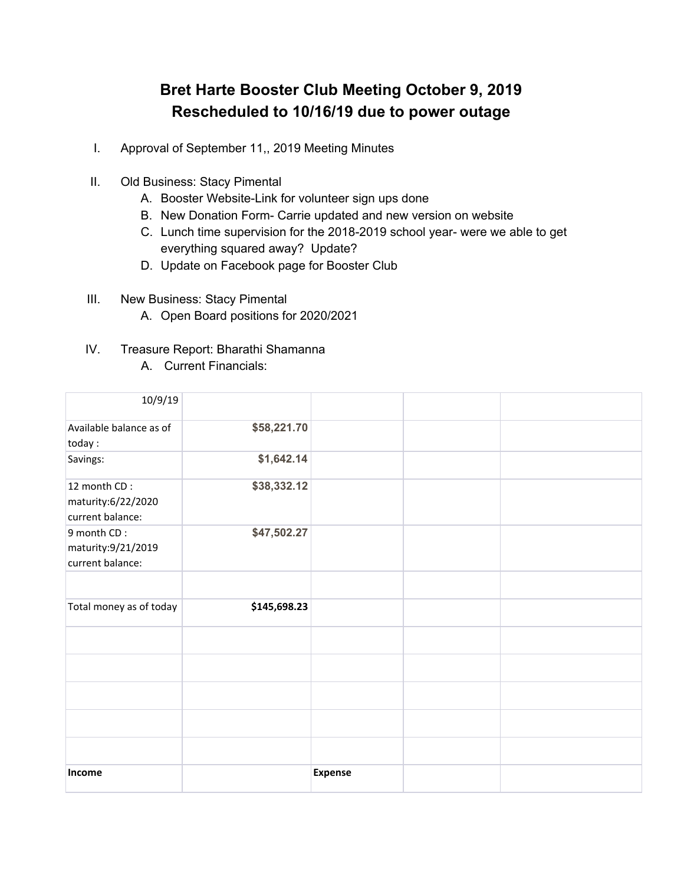## **Bret Harte Booster Club Meeting October 9, 2019 Rescheduled to 10/16/19 due to power outage**

- I. Approval of September 11,, 2019 Meeting Minutes
- II. Old Business: Stacy Pimental
	- A. Booster Website-Link for volunteer sign ups done
	- B. New Donation Form- Carrie updated and new version on website
	- C. Lunch time supervision for the 2018-2019 school year- were we able to get everything squared away? Update?
	- D. Update on Facebook page for Booster Club
- III. New Business: Stacy Pimental
	- A. Open Board positions for 2020/2021
- IV. Treasure Report: Bharathi Shamanna
	- A. Current Financials:

| 10/9/19                                                |              |                |  |
|--------------------------------------------------------|--------------|----------------|--|
| Available balance as of<br>today:                      | \$58,221.70  |                |  |
| Savings:                                               | \$1,642.14   |                |  |
| 12 month CD:<br>maturity:6/22/2020<br>current balance: | \$38,332.12  |                |  |
| 9 month CD:<br>maturity:9/21/2019<br>current balance:  | \$47,502.27  |                |  |
|                                                        |              |                |  |
| Total money as of today                                | \$145,698.23 |                |  |
|                                                        |              |                |  |
|                                                        |              |                |  |
|                                                        |              |                |  |
|                                                        |              |                |  |
|                                                        |              |                |  |
| Income                                                 |              | <b>Expense</b> |  |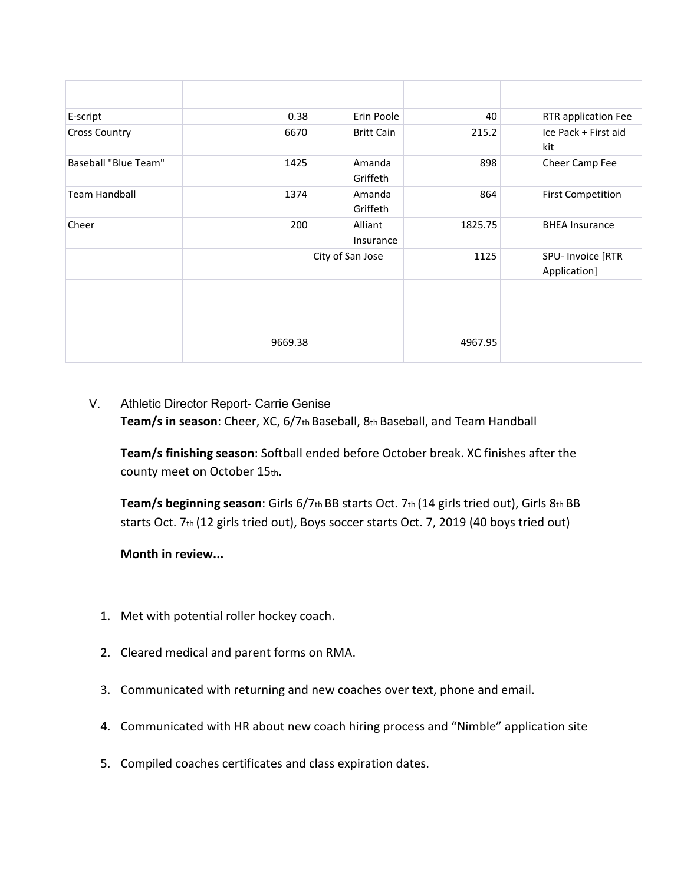| E-script             | 0.38    | Erin Poole           | 40      | RTR application Fee               |
|----------------------|---------|----------------------|---------|-----------------------------------|
| <b>Cross Country</b> | 6670    | <b>Britt Cain</b>    | 215.2   | Ice Pack + First aid<br>kit       |
| Baseball "Blue Team" | 1425    | Amanda<br>Griffeth   | 898     | Cheer Camp Fee                    |
| <b>Team Handball</b> | 1374    | Amanda<br>Griffeth   | 864     | <b>First Competition</b>          |
| Cheer                | 200     | Alliant<br>Insurance | 1825.75 | <b>BHEA Insurance</b>             |
|                      |         | City of San Jose     | 1125    | SPU- Invoice [RTR<br>Application] |
|                      |         |                      |         |                                   |
|                      |         |                      |         |                                   |
|                      | 9669.38 |                      | 4967.95 |                                   |

## V. Athletic Director Report- Carrie Genise **Team/s in season**: Cheer, XC, 6/7th Baseball, 8th Baseball, and Team Handball

**Team/s finishing season**: Softball ended before October break. XC finishes after the county meet on October 15th.

**Team/s beginning season**: Girls 6/7th BB starts Oct. 7th (14 girls tried out), Girls 8th BB starts Oct. 7th (12 girls tried out), Boys soccer starts Oct. 7, 2019 (40 boys tried out)

**Month in review...**

- 1. Met with potential roller hockey coach.
- 2. Cleared medical and parent forms on RMA.
- 3. Communicated with returning and new coaches over text, phone and email.
- 4. Communicated with HR about new coach hiring process and "Nimble" application site
- 5. Compiled coaches certificates and class expiration dates.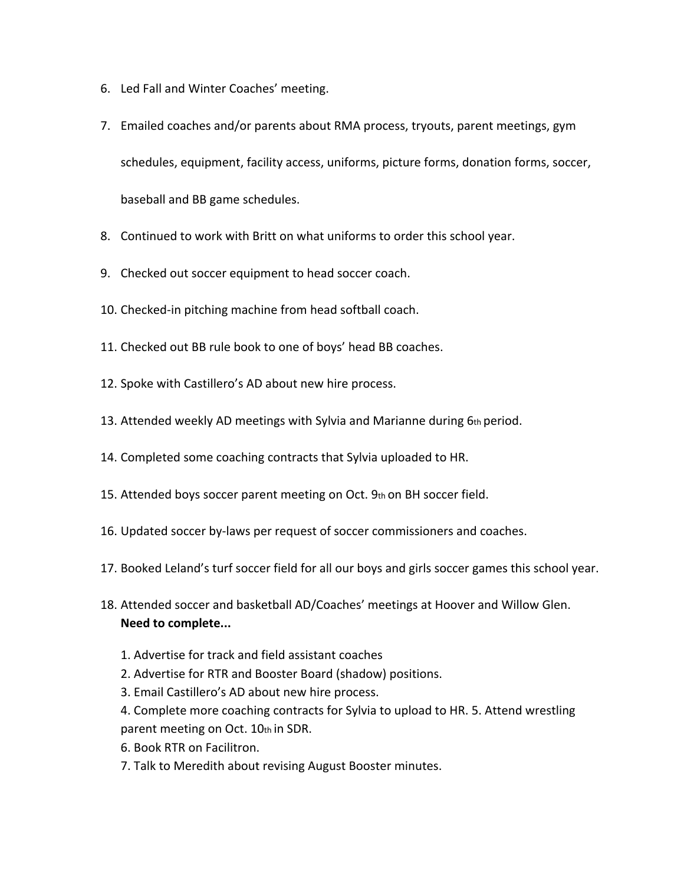- 6. Led Fall and Winter Coaches' meeting.
- 7. Emailed coaches and/or parents about RMA process, tryouts, parent meetings, gym schedules, equipment, facility access, uniforms, picture forms, donation forms, soccer, baseball and BB game schedules.
- 8. Continued to work with Britt on what uniforms to order this school year.
- 9. Checked out soccer equipment to head soccer coach.
- 10. Checked-in pitching machine from head softball coach.
- 11. Checked out BB rule book to one of boys' head BB coaches.
- 12. Spoke with Castillero's AD about new hire process.
- 13. Attended weekly AD meetings with Sylvia and Marianne during  $6$ th period.
- 14. Completed some coaching contracts that Sylvia uploaded to HR.
- 15. Attended boys soccer parent meeting on Oct.  $9<sub>th</sub>$  on BH soccer field.
- 16. Updated soccer by-laws per request of soccer commissioners and coaches.
- 17. Booked Leland's turf soccer field for all our boys and girls soccer games this school year.
- 18. Attended soccer and basketball AD/Coaches' meetings at Hoover and Willow Glen. **Need to complete...**
	- 1. Advertise for track and field assistant coaches
	- 2. Advertise for RTR and Booster Board (shadow) positions.
	- 3. Email Castillero's AD about new hire process.
	- 4. Complete more coaching contracts for Sylvia to upload to HR. 5. Attend wrestling parent meeting on Oct. 10th in SDR.
	- 6. Book RTR on Facilitron.
	- 7. Talk to Meredith about revising August Booster minutes.